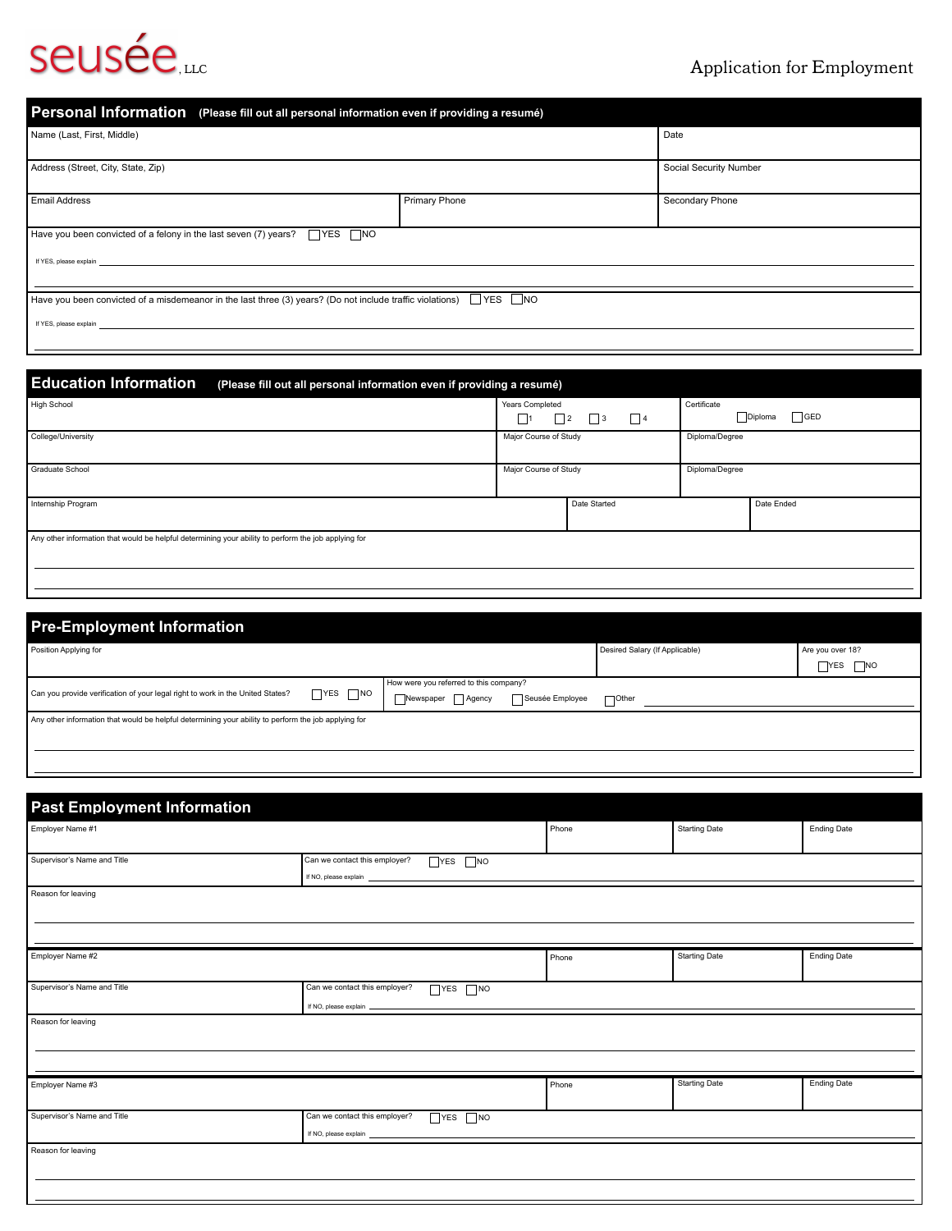## Seusée<sub>, LLC</sub> Application for Employment

| Personal Information (Please fill out all personal information even if providing a resumé)                        |               |                        |  |  |
|-------------------------------------------------------------------------------------------------------------------|---------------|------------------------|--|--|
| Name (Last, First, Middle)                                                                                        |               | Date                   |  |  |
| Address (Street, City, State, Zip)                                                                                |               | Social Security Number |  |  |
| <b>Email Address</b>                                                                                              | Primary Phone | Secondary Phone        |  |  |
| $\Box$ YES $\Box$ NO<br>Have you been convicted of a felony in the last seven (7) years?                          |               |                        |  |  |
| If YES, please explain                                                                                            |               |                        |  |  |
| Have you been convicted of a misdemeanor in the last three (3) years? (Do not include traffic violations) YES DNO |               |                        |  |  |
| If YES, please explain                                                                                            |               |                        |  |  |

| <b>Education Information</b><br>(Please fill out all personal information even if providing a resumé) |                                                           |              |                                        |            |  |  |
|-------------------------------------------------------------------------------------------------------|-----------------------------------------------------------|--------------|----------------------------------------|------------|--|--|
| <b>High School</b>                                                                                    | Years Completed<br>$\Box$ 3<br>$\Box$ 4<br>$\mathbb{Z}^2$ |              | Certificate<br>$\sqcap$ GED<br>Diploma |            |  |  |
| College/University                                                                                    | Major Course of Study                                     |              | Diploma/Degree                         |            |  |  |
| <b>Graduate School</b>                                                                                | Major Course of Study                                     |              | Diploma/Degree                         |            |  |  |
| Internship Program                                                                                    |                                                           | Date Started |                                        | Date Ended |  |  |
| Any other information that would be helpful determining your ability to perform the job applying for  |                                                           |              |                                        |            |  |  |

| <b>Pre-Employment Information</b>                                                                      |  |                                        |                 |                                |                          |
|--------------------------------------------------------------------------------------------------------|--|----------------------------------------|-----------------|--------------------------------|--------------------------|
| Position Applying for                                                                                  |  |                                        |                 | Desired Salary (If Applicable) | Are you over 18?         |
|                                                                                                        |  |                                        |                 |                                | $\neg$ NO<br><b>TYES</b> |
| $\neg$ YES $\neg$ NO<br>Can you provide verification of your legal right to work in the United States? |  | How were you referred to this company? |                 |                                |                          |
|                                                                                                        |  | Newspaper Agency                       | Seusée Employee | <b>TOther</b>                  |                          |
| Any other information that would be helpful determining your ability to perform the job applying for   |  |                                        |                 |                                |                          |
|                                                                                                        |  |                                        |                 |                                |                          |
|                                                                                                        |  |                                        |                 |                                |                          |
|                                                                                                        |  |                                        |                 |                                |                          |

## **Past Employment Information** Employer Name #1 Reason for leaving Supervisor's Name and Title **Can we contact this employer?** TYES NO If NO, please explain Employer Name #2 Reason for leaving Supervisor's Name and Title **Can we contact this employer?** NO If NO, please explain Employer Name #3 Reason for leaving Supervisor's Name and Title **Can we contact this employer?** TYES NO If NO, please explain Phone Starting Date Research Contract Ending Date Phone Starting Date Research Contract Ending Date Phone Starting Date **Ending Date** Ending Date